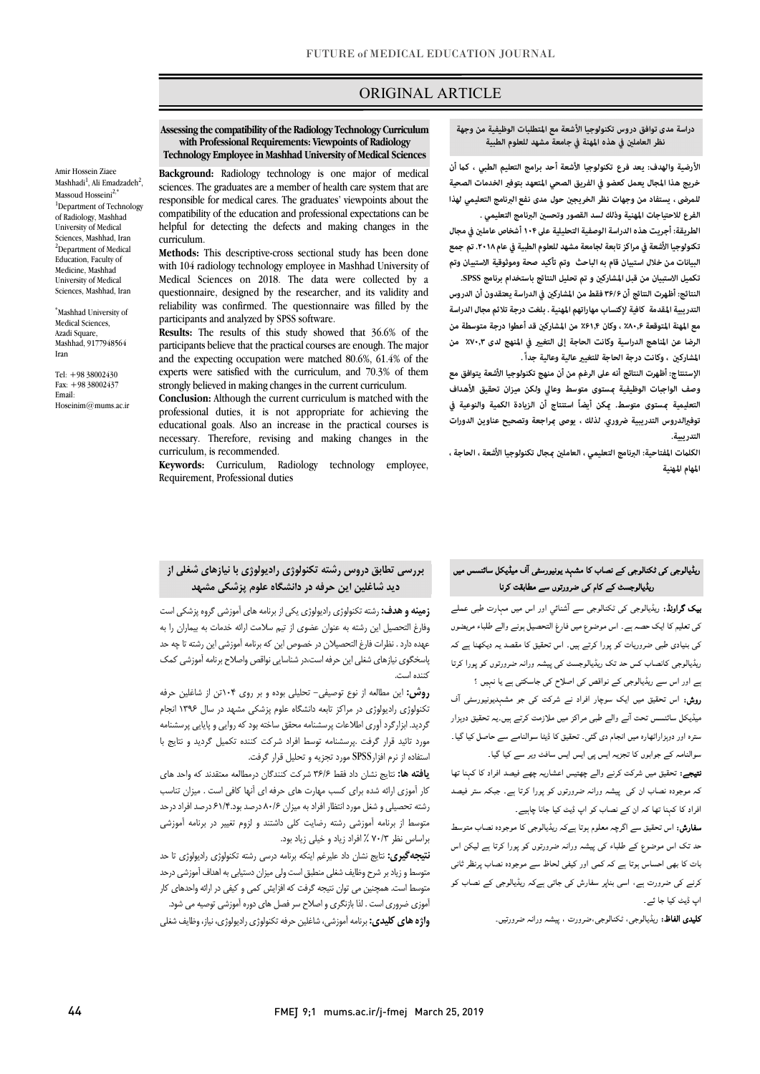# ORIGINAL ARTICLE

 **with Professional Requirements: Viewpoints of Radiology Technology Employee in Mashhad University of Medical Sciences Assessing the compatibility of the Radiology Technology Curriculum** 

Ī

 **Background:** Radiology technology is one major of medical sciences. The graduates are a member of health care system that are compatibility of the education and professional expectations can be helpful for detecting the defects and making changes in the responsible for medical cares. The graduates' viewpoints about the curriculum.

 **Methods:** This descriptive-cross sectional study has been done with 104 radiology technology employee in Mashhad University of Medical Sciences on 2018. The data were collected by a reliability was confirmed. The questionnaire was filled by the questionnaire, designed by the researcher, and its validity and participants and analyzed by SPSS software.

 participants believe that the practical courses are enough. The major and the expecting occupation were matched 80.6%, 61.4% of the experts were satisfied with the curriculum, and 70.3% of them **Results:** The results of this study showed that 36.6% of the strongly believed in making changes in the current curriculum.

 **Conclusion:** Although the current curriculum is matched with the professional duties, it is not appropriate for achieving the educational goals. Also an increase in the practical courses is necessary. Therefore, revising and making changes in the curriculum, is recommended.

 **Keywords:** Curriculum, Radiology technology employee, Requirement, Professional duties

#### **نظر العامل في هذه المهنة في جامعة مشهد للعلوم الطبية دراسة مدى توافق دروس تكنولوجيا الأشعة مع المتطلبات الوظيفية من وجهة**

ص

الأرضية والهدف: يعد فرع تكنولوجيا الأشعة أحد برامج التعليم الطبي ، كما أن<br>. **خريج هذا المجال يعمل كعضو في الفريق الصحي المتعهد بتوف الخدمات الصحية**  س<br>الفرع للاحتياجات المهنية وذلك لسد القصور وتحسين البرنامج التعليمي . **للمرضى ، يستفاد من وجهات نظر الخريج حول مدى نفع البرنامج التعليمي لهذا** 

 **الطريقة: أجريت هذه الدراسة الوصفية التحليلية على ۱۰۴أشخاص عامل في مجال تكنولوجيا الأشعة في مراكز تابعة لجامعة مشهد للعلوم الطبية في عام .۲۰۱۸ تم جمع البيانات من خلال استبيان قام به الباحث وتم تأكيد صحة وموثوقية الاستبيان وتم**  تكميل الاستبيان من قبل المشاركين و تم تحليل النتائج باستخدام برنامج SPSS.<br>.

 **النتائج: أظهرت النتائج أن ۳۶/۶ فقط من المشارك في الدراسة يعتقدون أن الدروس مع المهنة المتوقعة ٪۸۰٫۶ ، وكان ٪۶۱٫۴ من المشارك قد أعطوا درجة متوسطة من الرضا عن المناهج الدراسية وكانت الحاجة إلى التغي في المنهج لدى ٪۷۰٫۳ من**  المشاركين ، وكانت درجة الحاجة للتغيير عالية وعالية جداً . **التدريبية المقدمة كافية لإكتساب مهاراتهم المهنية . بلغت درجة تلائم مجال الدراسة** 

 **الإستنتاج: أظهرت النتائج أنه على الرغم من أن منهج تكنولوجيا الأشعة يتوافق مع وصف الواجبات الوظيفية ستوى متوسط وعالي ولكن ميزان تحقيق الأهداف التعليمية ستوى متوسط. كن أيضاً استنتاج أن الزيادة الكمية والنوعية في توفالدروس التدريبية ضروري. لذلك ، يوصى راجعة و تصحيح عناوين الدورات التدريبية.** 

 **الكلت المفتاحية: البرنامج التعليمي ، العامل جال تكنولوجيا الأشعة ، الحاجة ، المهام المهنية**

#### ٦ ریڈیالوجسٹ کے کام ک*ی* ضرورتوں سے مطابقت کرنا<br>۔ ریڈیالوجی کی ٹکنالوجی کے نصاب کا مشہد یونیورسٹی آف میڈیکل سائنسس میں

**ییک گراونڈ:** ریڈیالوجی کی ٹکنالوجی سے آشنائی اور اس میں مہارت طبی عملے<br>۔ کی تعلیم کا ایک حصہ ہے۔ اس موضوع میں فارغ التحصیل ہونے والے طلباء مریضوں کی بنیادی طبی ضروریات کو پورا کرتے ہیں۔ اس تحقیق کا مقصد یہ دیکھنا ہے کہ<br>۔ ریڈیالوجی کانصاب کس حد تک ریڈیالوجسٹ کی پیشہ ورانہ ضرورتوں کو پورا کرتا<br>۔ ے اور اس سے ریڈیالوجی کے نواقص کی اصلاح کی جاسکتی ہے یا نہیں ؟<br>. ر**وش:** اس تحقیق میں ایک سوچار افراد نے شرکت کی جو مشہدیونیورسٹی آف<br>. میڈیکل سائنسس تحت آنے والے طبی مراکز میں ملازمت کرتے ہیں۔یہ تحقیق دوہزار<br>۔

سترہ اور دوہزاراٹھارہ میں انجام دی گئی۔ تحقیق کا ڈیٹا سوالنامے سے حاصل کیا گیا۔<br>۔ سوالنامہ کے جوابوں کا تجزیہ ایس پی ایس ایس سافٹ ویر سے کیا گیا۔<br>۔

**تیجے:** تحقیق میں شرکت کرنے والے چھتیس اعشاریہ چھے فیصد افراد کا کہنا تھا<br>۔ کہ موجودہ نصاب ان کی پیشہ ورانہ ضرورتوں کو پورا کرتا ہے۔ جبکہ ستر فیصد<br>۔ افراد کا کہنا تھا کہ ان کے نصاب کو اپ ڈیٹ کیا جانا چاہیے۔<br>۔

**سفارش:** اس تحقیق سے اگرچہ معلوم ہوتا ہےکہ ریڈیالوجی کا موجودہ نصاب متوسط<br>۔ Ī بات کا بھی احساس ہوتا ہے کہ کمی اور کیفی لحاظ سے موجودہ نصاب پرنظر ثانی<br>۔ کرنے کی ضرورت ہے، اسی بناپر سفارش کی جاتی ہےکہ ریڈیالوجی کے نصاب کو<br>۔ ۔<br>حد تک اس موضوع کے طلباء کی پیشہ ورانہ ضرورتوں کو یورا کرتا ہے لیکن اس اپ ڈیٹ کیا جا ئے۔

**کلیدی الفاظ:** ریڈیالوجی، ٹکنالوجی،ضرورت ، پیشہ ورانہ ضرورتیں۔<br>۔

# **بررسی تطابق دروس رشته تکنولوژي رادیولوژي با نیازهاي شغلی از دید شاغلین این حرفه در دانشگاه علوم پزشکی مشهد**

 **زمینه و هدف:** رشته تکنولوژي رادیولوژي یکی از برنامه هاي آموزشی گروه پزشکی است وفارغ التحصیل این رشته به عنوان عضوي از تیم سلامت ارائه خدمات به بیماران را به Ī پاسخگوی نیازهای شغلی این حرفه است،در شناسایی نواقص واصلاح برنامه آموزشی کمک<br>کنید است عهده دارد . نظرات فارغ التحصیلان در خصوص این که برنامه آموزشی این رشته تا چه حد کننده است.

 **روش:** این مطالعه از نوع توصیفی- تحلیلی بوده و بر روي 104تن از شاغلین حرفه تکنولوژي رادیولوژي در مراکز تابعه دانشگاه علوم پزشکی مشهد در سال 1396 انجام گردید. ابزارگرد آوري اطلاعات پرسشنامه محقق ساخته بود که روایی و پایایی پرسشنامه مورد تائید قرار گرفت .پرسشنامه توسط افراد شرکت کننده تکمیل گردید و نتایج با استفاده از نرم افزارSPSS مورد تجزیه و تحلیل قرار گرفت.

 **یافته ها:** نتایج نشان داد فقط 36/6 شرکت کنندگان درمطالعه معتقدند که واحد هاي در موری «رمه سند برای حسب مهارت سای حرف» این مهد با می است . میزان ساسب<br>رشته تحصیلی و شغل مورد انتظار افراد به میزان ۸۰/۶ درصد بود.۶۱/۴ درصد افراد درحد متوسط از برنامه آموزشی رشته رضایت کلی داشتند و لزوم تغییر در برنامه آموزشی براساس نظر 70/3 % افراد زیاد و خیلی زیاد بود. کار آموزي ارائه شده براي کسب مهارت هاي حرفه اي آنها کافی است . میزان تناسب

 **نتیجهگیري:** نتایج نشان داد علیرغم اینکه برنامه درسی رشته تکنولوژي رادیولوژي تا حد متوسط و زیاد بر شرح وظایف شغلی منطبق است ولی میزان دستیابی به اهداف آموزشی درحد متوسط است. همچنین می توان نتیجه گرفت که افزایش کمی و کیفی در ارائه واحدهاي کار آموزي ضروري است . لذا بازنگري و اصلاح سر فصل هاي دوره آموزشی توصیه می شود. **واژه هاي کلیدي:** برنامه آموزشی، شاغلین حرفه تکنولوژي رادیولوژي، نیاز، وظایف شغلی

Amir Hossein Ziaee Mashhadi<sup>1</sup>, Ali Emadzadeh<sup>2</sup>, Massoud Hosseini<sup>2,\*</sup> <sup>1</sup>Department of Technology of Radiology, Mashhad University of Medical Sciences, Mashhad, Iran <sup>2</sup>Department of Medical Education, Faculty of Medicine, Mashhad University of Medical Sciences, Mashhad, Iran

\* Mashhad University of Medical Sciences, Azadi Square, Mashhad, 9177948564 Iran

 $Tel: +98,38002430$ Fax: +98 38002437 Email: Hoseinim@mums.ac.ir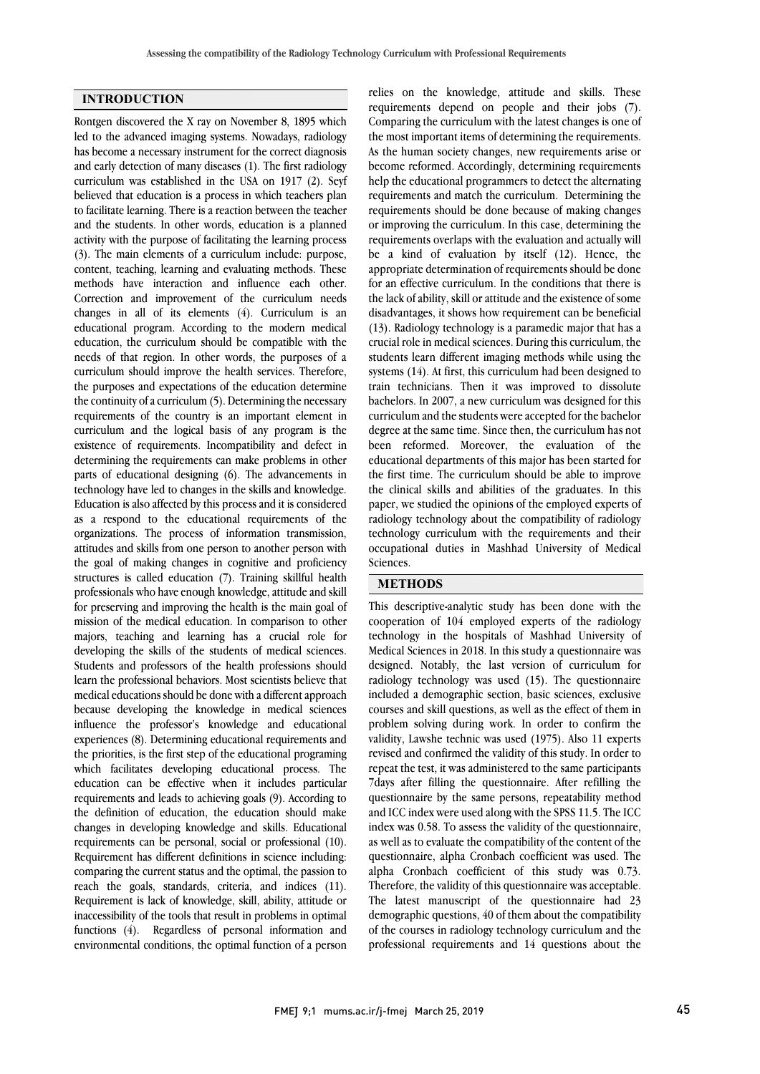### **INTRODUCTION**

Rontgen discovered the X ray on November 8, 1895 which led to the advanced imaging systems. Nowadays, radiology has become a necessary instrument for the correct diagnosis and early detection of many diseases (1). The first radiology curriculum was established in the USA on 1917 (2). Seyf believed that education is a process in which teachers plan to facilitate learning. There is a reaction between the teacher and the students. In other words, education is a planned activity with the purpose of facilitating the learning process (3). The main elements of a curriculum include: purpose, content, teaching, learning and evaluating methods. These methods have interaction and influence each other. Correction and improvement of the curriculum needs changes in all of its elements (4). Curriculum is an educational program. According to the modern medical education, the curriculum should be compatible with the needs of that region. In other words, the purposes of a curriculum should improve the health services. Therefore, the purposes and expectations of the education determine the continuity of a curriculum (5). Determining the necessary requirements of the country is an important element in curriculum and the logical basis of any program is the existence of requirements. Incompatibility and defect in determining the requirements can make problems in other parts of educational designing (6). The advancements in technology have led to changes in the skills and knowledge. Education is also affected by this process and it is considered as a respond to the educational requirements of the organizations. The process of information transmission, attitudes and skills from one person to another person with the goal of making changes in cognitive and proficiency structures is called education (7). Training skillful health professionals who have enough knowledge, attitude and skill for preserving and improving the health is the main goal of mission of the medical education. In comparison to other majors, teaching and learning has a crucial role for developing the skills of the students of medical sciences. Students and professors of the health professions should learn the professional behaviors. Most scientists believe that medical educations should be done with a different approach because developing the knowledge in medical sciences influence the professor's knowledge and educational experiences (8). Determining educational requirements and the priorities, is the first step of the educational programing which facilitates developing educational process. The education can be effective when it includes particular requirements and leads to achieving goals (9). According to the definition of education, the education should make changes in developing knowledge and skills. Educational requirements can be personal, social or professional (10). Requirement has different definitions in science including: comparing the current status and the optimal, the passion to reach the goals, standards, criteria, and indices (11). Requirement is lack of knowledge, skill, ability, attitude or inaccessibility of the tools that result in problems in optimal functions (4). Regardless of personal information and environmental conditions, the optimal function of a person

reflucts on the knowledge, attitude and skins. These requirements depend on people and their jobs (7). Comparing the curriculum with the latest changes is one of the most important items of determining the requirements. As the human society changes, new requirements arise or help the educational programmers to detect the alternating requirements and match the curriculum. Determining the requirements should be done because of making changes or improving the curriculum. In this case, determining the be a kind of evaluation by itself (12). Hence, the appropriate determination of requirements should be done for an effective curriculum. In the conditions that there is the lack of ability, skill or attitude and the existence of some (13). Radiology technology is a paramedic major that has a crucial role in medical sciences. During this curriculum, the students learn different imaging methods while using the systems (14). At first, this curriculum had been designed to bachelors. In 2007, a new curriculum was designed for this curriculum and the students were accepted for the bachelor degree at the same time. Since then, the curriculum has not been reformed. Moreover, the evaluation of the the first time. The curriculum should be able to improve the clinical skills and abilities of the graduates. In this paper, we studied the opinions of the employed experts of radiology technology about the compatibility of radiology occupational duties in Mashhad University of Medical Sciences. relies on the knowledge, attitude and skills. These become reformed. Accordingly, determining requirements requirements overlaps with the evaluation and actually will disadvantages, it shows how requirement can be beneficial train technicians. Then it was improved to dissolute educational departments of this major has been started for technology curriculum with the requirements and their

# **METHODS**

I cooperation of 104 employed experts of the radiology technology in the hospitals of Mashhad University of Medical Sciences in 2018. In this study a questionnaire was designed. Notably, the last version of curriculum for  $includeed a demographic section, basic sciences, exclusive$  courses and skill questions, as well as the effect of them in problem solving during work. In order to confirm the validity, Lawshe technic was used (1975). Also 11 experts repeat the test, it was administered to the same participants 7days after filling the questionnaire. After refilling the questionnaire by the same persons, repeatability method and ICC index were used along with the SPSS 11.5. The ICC as well as to evaluate the compatibility of the content of the questionnaire, alpha Cronbach coefficient was used. The alpha Cronbach coefficient of this study was 0.73. Therefore, the validity of this questionnaire was acceptable. demographic questions, 40 of them about the compatibility of the courses in radiology technology curriculum and the professional requirements and 14 questions about the This descriptive-analytic study has been done with the radiology technology was used (15). The questionnaire revised and confirmed the validity of this study. In order to index was 0.58. To assess the validity of the questionnaire, The latest manuscript of the questionnaire had 23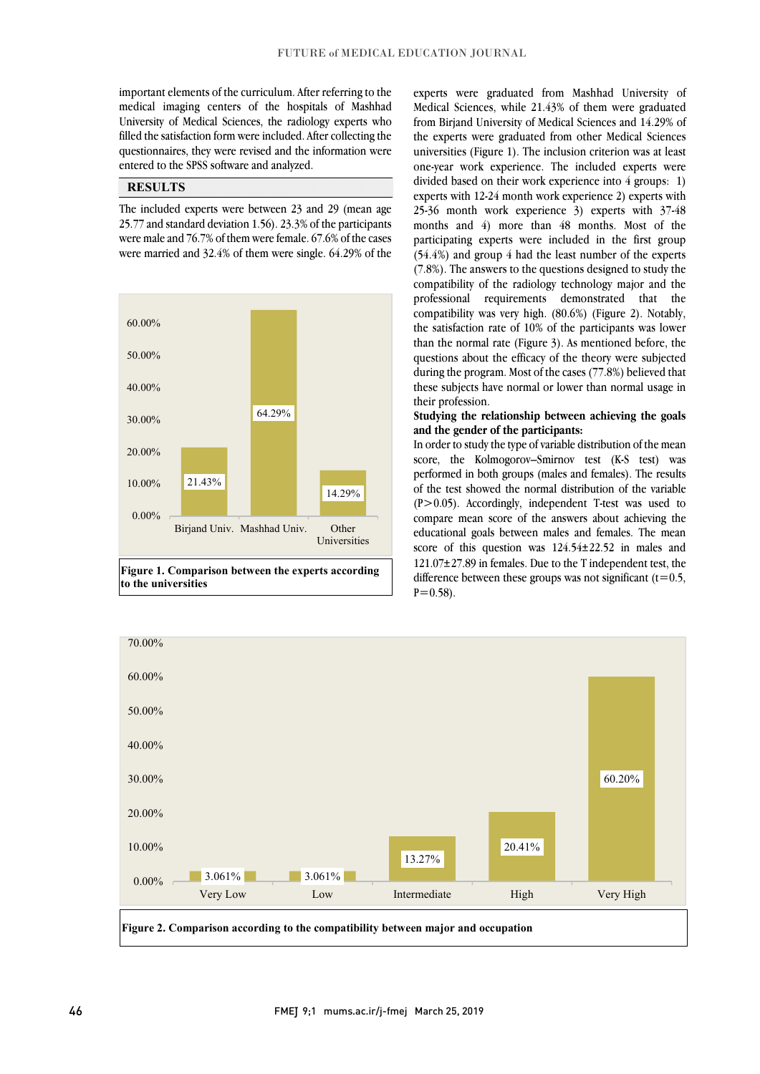medical imaging centers of the hospitals of Mashhad University of Medical Sciences, the radiology experts who filled the satisfaction form were included. After collecting the questionnaires, they were revised and the information were  $\overline{\phantom{0}}$ important elements of the curriculum. After referring to the entered to the SPSS software and analyzed.

# **RESULTS**

 The included experts were between 23 and 29 (mean age 25.77 and standard deviation 1.56). 23.3% of the participants were married and 32.4% of them were single. 64.29% of the were male and 76.7% of them were female. 67.6% of the cases



 Medical Sciences, while 21.43% of them were graduated from Birjand University of Medical Sciences and 14.29% of the experts were graduated from other Medical Sciences universities (Figure 1). The inclusion criterion was at least one-year work experience. The included experts were experts with 12-24 month work experience 2) experts with 25-36 month work experience 3) experts with 37-48 months and 4) more than 48 months. Most of the (54.4%) and group 4 had the least number of the experts (7.8%). The answers to the questions designed to study the compatibility of the radiology technology major and the professional requirements demonstrated that the the satisfaction rate of  $10\%$  of the participants was lower than the normal rate (Figure 3). As mentioned before, the questions about the efficacy of the theory were subjected during the program. Most of the cases (77.8%) believed that these subjects have normal or lower than normal usage in experts were graduated from Mashhad University of divided based on their work experience into 4 groups: 1) participating experts were included in the first group compatibility was very high. (80.6%) (Figure 2). Notably, their profession.

# **Studying the relationship between achieving the goals and the gender of the participants:**

 In order to study the type of variable distribution of the mean performed in both groups (males and females). The results of the test showed the normal distribution of the variable (P>0.05). Accordingly, independent T-test was used to compare mean score of the answers about achieving the score of this question was 124.54±22.52 in males and 121.07±27.89 in females. Due to the T independent test, the difference between these groups was not significant  $(t=0.5,$ score, the Kolmogorov–Smirnov test (K-S test) was educational goals between males and females. The mean  $P=0.58$ ).

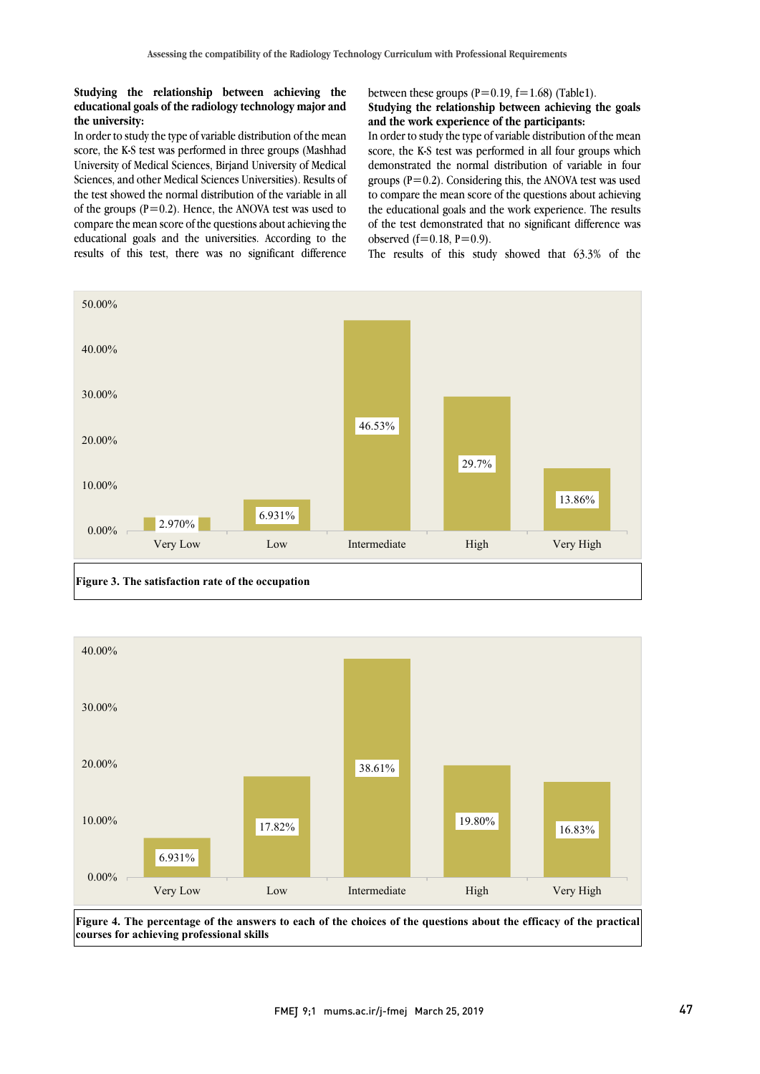### **Studying the relationship between achieving the educational goals of the radiology technology major and the university:**

In order to study the type of variable distribution of the mean score, the K-S test was performed in three groups (Mashhad University of Medical Sciences, Birjand University of Medical Sciences, and other Medical Sciences Universities). Results of the test showed the normal distribution of the variable in all of the groups  $(P=0.2)$ . Hence, the ANOVA test was used to compare the mean score of the questions about achieving the educational goals and the universities. According to the results of this test, there was no significant difference

between these groups  $(P=0.19, f=1.68)$  (Table1).

# Studying the relationship between achieving the goals **and the work experience of the participants:**

 In order to study the type of variable distribution of the mean score, the K-S test was performed in all four groups which groups  $(P=0.2)$ . Considering this, the ANOVA test was used to compare the mean score of the questions about achieving the educational goals and the work experience. The results of the test demonstrated that no significant difference was demonstrated the normal distribution of variable in four observed  $(f=0.18, P=0.9)$ .

The results of this study showed that  $63.3\%$  of the





**Figure 4. The percentage of the answers to each of the choices of the questions about the efficacy of the practical courses for achieving professional skills**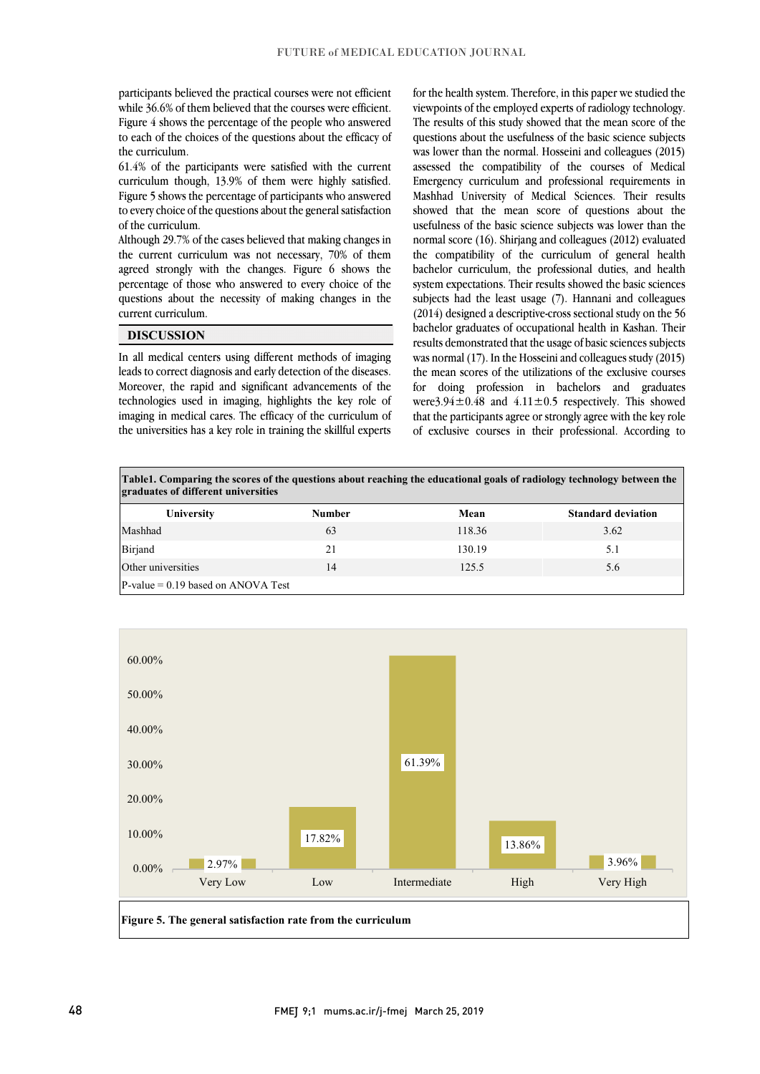participants believed the practical courses were not efficient while 36.6% of them believed that the courses were efficient. Figure 4 shows the percentage of the people who answered to each of the choices of the questions about the efficacy of the curriculum.

61.4% of the participants were satisfied with the current curriculum though, 13.9% of them were highly satisfied. Figure 5 shows the percentage of participants who answered to every choice of the questions about the general satisfaction of the curriculum.

Although 29.7% of the cases believed that making changes in the current curriculum was not necessary, 70% of them agreed strongly with the changes. Figure 6 shows the percentage of those who answered to every choice of the questions about the necessity of making changes in the current curriculum.

# **DISCUSSION**

In all medical centers using different methods of imaging leads to correct diagnosis and early detection of the diseases. Moreover, the rapid and significant advancements of the technologies used in imaging, highlights the key role of imaging in medical cares. The efficacy of the curriculum of the universities has a key role in training the skillful experts

for the health system. Therefore, in this paper we studied the viewpoints of the employed experts of radiology technology. The results of this study showed that the mean score of the questions about the usefulness of the basic science subjects was lower than the normal. Hosseini and colleagues (2015) assessed the compatibility of the courses of Medical Emergency curriculum and professional requirements in Mashhad University of Medical Sciences. Their results showed that the mean score of questions about the usefulness of the basic science subjects was lower than the normal score (16). Shirjang and colleagues (2012) evaluated the compatibility of the curriculum of general health bachelor curriculum, the professional duties, and health system expectations. Their results showed the basic sciences subjects had the least usage (7). Hannani and colleagues (2014) designed a descriptive-cross sectional study on the 56 bachelor graduates of occupational health in Kashan. Their results demonstrated that the usage of basic sciences subjects was normal (17). In the Hosseini and colleagues study (2015) the mean scores of the utilizations of the exclusive courses for doing profession in bachelors and graduates were  $3.94 \pm 0.48$  and  $4.11 \pm 0.5$  respectively. This showed that the participants agree or strongly agree with the key role of exclusive courses in their professional. According to

| Table1. Comparing the scores of the questions about reaching the educational goals of radiology technology between the<br>graduates of different universities |               |        |                           |
|---------------------------------------------------------------------------------------------------------------------------------------------------------------|---------------|--------|---------------------------|
| University                                                                                                                                                    | <b>Number</b> | Mean   | <b>Standard deviation</b> |
| Mashhad                                                                                                                                                       | 63            | 118.36 | 3.62                      |
| Birjand                                                                                                                                                       | 21            | 130.19 | 5.1                       |
| Other universities                                                                                                                                            | 14            | 125.5  | 5.6                       |
| $P-value = 0.19$ based on ANOVA Test                                                                                                                          |               |        |                           |

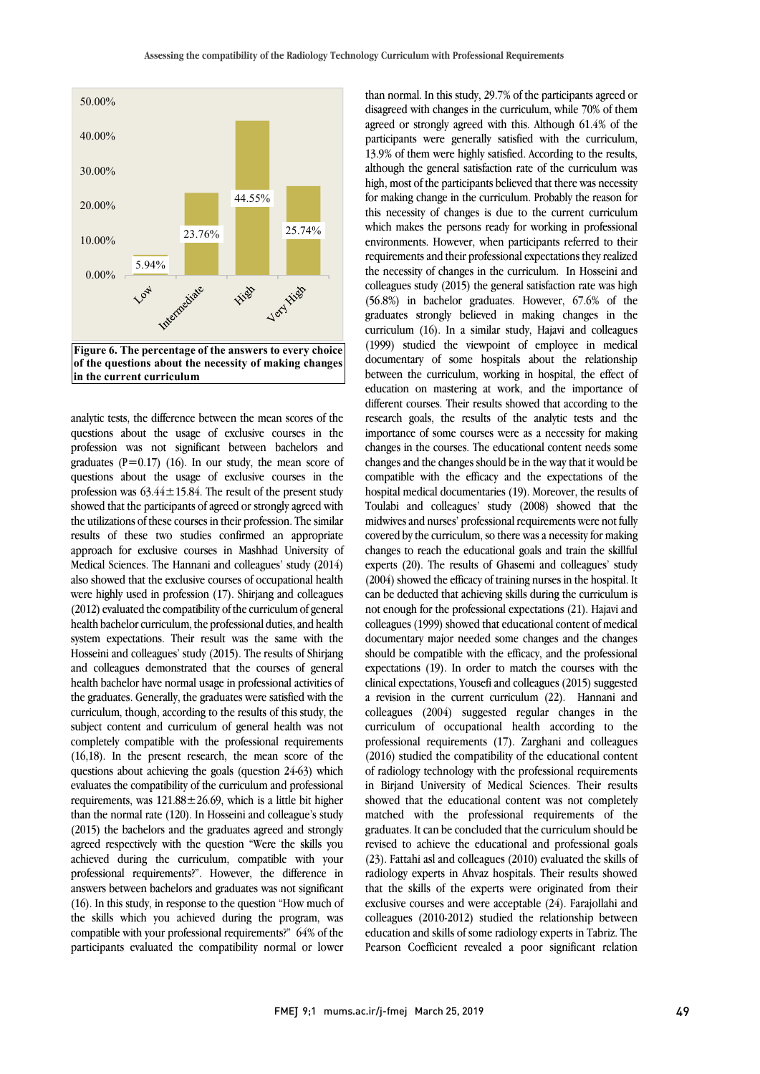

analytic tests, the difference between the mean scores of the questions about the usage of exclusive courses in the profession was not significant between bachelors and graduates ( $P=0.17$ ) (16). In our study, the mean score of questions about the usage of exclusive courses in the profession was  $63.44 \pm 15.84$ . The result of the present study showed that the participants of agreed or strongly agreed with the utilizations of these courses in their profession. The similar results of these two studies confirmed an appropriate approach for exclusive courses in Mashhad University of Medical Sciences. The Hannani and colleagues' study (2014) also showed that the exclusive courses of occupational health were highly used in profession (17). Shirjang and colleagues (2012) evaluated the compatibility of the curriculum of general health bachelor curriculum, the professional duties, and health system expectations. Their result was the same with the Hosseini and colleagues' study (2015). The results of Shirjang and colleagues demonstrated that the courses of general health bachelor have normal usage in professional activities of the graduates. Generally, the graduates were satisfied with the curriculum, though, according to the results of this study, the subject content and curriculum of general health was not completely compatible with the professional requirements (16,18). In the present research, the mean score of the questions about achieving the goals (question 24-63) which evaluates the compatibility of the curriculum and professional requirements, was  $121.88 \pm 26.69$ , which is a little bit higher than the normal rate (120). In Hosseini and colleague's study (2015) the bachelors and the graduates agreed and strongly agreed respectively with the question "Were the skills you achieved during the curriculum, compatible with your professional requirements?". However, the difference in answers between bachelors and graduates was not significant (16). In this study, in response to the question "How much of the skills which you achieved during the program, was compatible with your professional requirements?" 64% of the participants evaluated the compatibility normal or lower than normal. In this study, 29.7% of the participants agreed or disagreed with changes in the curriculum, while 70% of them agreed or strongly agreed with this. Although 61.4% of the participants were generally satisfied with the curriculum, 13.9% of them were highly satisfied. According to the results, although the general satisfaction rate of the curriculum was high, most of the participants believed that there was necessity for making change in the curriculum. Probably the reason for this necessity of changes is due to the current curriculum which makes the persons ready for working in professional environments. However, when participants referred to their requirements and their professional expectations they realized the necessity of changes in the curriculum. In Hosseini and colleagues study (2015) the general satisfaction rate was high (56.8%) in bachelor graduates. However, 67.6% of the graduates strongly believed in making changes in the curriculum (16). In a similar study, Hajavi and colleagues (1999) studied the viewpoint of employee in medical documentary of some hospitals about the relationship between the curriculum, working in hospital, the effect of education on mastering at work, and the importance of different courses. Their results showed that according to the research goals, the results of the analytic tests and the importance of some courses were as a necessity for making changes in the courses. The educational content needs some changes and the changes should be in the way that it would be compatible with the efficacy and the expectations of the hospital medical documentaries (19). Moreover, the results of Toulabi and colleagues' study (2008) showed that the midwives and nurses' professional requirements were not fully covered by the curriculum, so there was a necessity for making changes to reach the educational goals and train the skillful experts (20). The results of Ghasemi and colleagues' study (2004) showed the efficacy of training nurses in the hospital. It can be deducted that achieving skills during the curriculum is not enough for the professional expectations (21). Hajavi and colleagues (1999) showed that educational content of medical documentary major needed some changes and the changes should be compatible with the efficacy, and the professional expectations (19). In order to match the courses with the clinical expectations, Yousefi and colleagues (2015) suggested a revision in the current curriculum (22). Hannani and colleagues (2004) suggested regular changes in the curriculum of occupational health according to the professional requirements (17). Zarghani and colleagues (2016) studied the compatibility of the educational content of radiology technology with the professional requirements in Birjand University of Medical Sciences. Their results showed that the educational content was not completely matched with the professional requirements of the graduates. It can be concluded that the curriculum should be revised to achieve the educational and professional goals (23). Fattahi asl and colleagues (2010) evaluated the skills of radiology experts in Ahvaz hospitals. Their results showed that the skills of the experts were originated from their exclusive courses and were acceptable (24). Farajollahi and colleagues (2010-2012) studied the relationship between education and skills of some radiology experts in Tabriz. The Pearson Coefficient revealed a poor significant relation